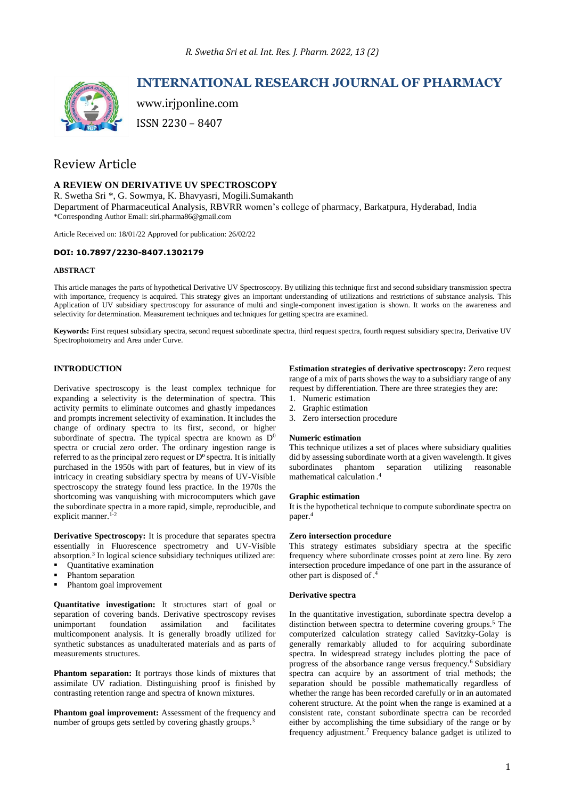

# **INTERNATIONAL RESEARCH JOURNAL OF PHARMACY**

www.irjponline.com ISSN 2230 – 8407

# Review Article

## **A REVIEW ON DERIVATIVE UV SPECTROSCOPY**

R. Swetha Sri \*, G. Sowmya, K. Bhavyasri, Mogili.Sumakanth Department of Pharmaceutical Analysis, RBVRR women's college of pharmacy, Barkatpura, Hyderabad, India \*Corresponding Author Email: siri.pharma86@gmail.com

Article Received on: 18/01/22 Approved for publication: 26/02/22

## **DOI: 10.7897/2230-8407.1302179**

## **ABSTRACT**

This article manages the parts of hypothetical Derivative UV Spectroscopy. By utilizing this technique first and second subsidiary transmission spectra with importance, frequency is acquired. This strategy gives an important understanding of utilizations and restrictions of substance analysis. This Application of UV subsidiary spectroscopy for assurance of multi and single-component investigation is shown. It works on the awareness and selectivity for determination. Measurement techniques and techniques for getting spectra are examined.

**Keywords:** First request subsidiary spectra, second request subordinate spectra, third request spectra, fourth request subsidiary spectra, Derivative UV Spectrophotometry and Area under Curve.

# **INTRODUCTION**

Derivative spectroscopy is the least complex technique for expanding a selectivity is the determination of spectra. This activity permits to eliminate outcomes and ghastly impedances and prompts increment selectivity of examination. It includes the change of ordinary spectra to its first, second, or higher subordinate of spectra. The typical spectra are known as D<sup>0</sup> spectra or crucial zero order. The ordinary ingestion range is referred to as the principal zero request or  $D^{\circ}$  spectra. It is initially purchased in the 1950s with part of features, but in view of its intricacy in creating subsidiary spectra by means of UV-Visible spectroscopy the strategy found less practice. In the 1970s the shortcoming was vanquishing with microcomputers which gave the subordinate spectra in a more rapid, simple, reproducible, and explicit manner. $1-2$ 

**Derivative Spectroscopy:** It is procedure that separates spectra essentially in Fluorescence spectrometry and UV-Visible absorption. 3 In logical science subsidiary techniques utilized are:

- Quantitative examination
- Phantom separation
- Phantom goal improvement

**Quantitative investigation:** It structures start of goal or separation of covering bands. Derivative spectroscopy revises<br>unimportant foundation assimilation and facilitates unimportant foundation assimilation and facilitates multicomponent analysis. It is generally broadly utilized for synthetic substances as unadulterated materials and as parts of measurements structures.

**Phantom separation:** It portrays those kinds of mixtures that assimilate UV radiation. Distinguishing proof is finished by contrasting retention range and spectra of known mixtures.

**Phantom goal improvement:** Assessment of the frequency and number of groups gets settled by covering ghastly groups.<sup>3</sup>

**Estimation strategies of derivative spectroscopy:** Zero request range of a mix of parts shows the way to a subsidiary range of any request by differentiation. There are three strategies they are:

- 1. Numeric estimation
- 2. Graphic estimation
- 3. Zero intersection procedure

#### **Numeric estimation**

This technique utilizes a set of places where subsidiary qualities did by assessing subordinate worth at a given wavelength. It gives subordinates phantom separation utilizing reasonable mathematical calculation . 4

#### **Graphic estimation**

It is the hypothetical technique to compute subordinate spectra on paper. 4

## **Zero intersection procedure**

This strategy estimates subsidiary spectra at the specific frequency where subordinate crosses point at zero line. By zero intersection procedure impedance of one part in the assurance of other part is disposed of. 4

## **Derivative spectra**

In the quantitative investigation, subordinate spectra develop a distinction between spectra to determine covering groups.<sup>5</sup> The computerized calculation strategy called Savitzky-Golay is generally remarkably alluded to for acquiring subordinate spectra. In widespread strategy includes plotting the pace of progress of the absorbance range versus frequency.<sup>6</sup> Subsidiary spectra can acquire by an assortment of trial methods; the separation should be possible mathematically regardless of whether the range has been recorded carefully or in an automated coherent structure. At the point when the range is examined at a consistent rate, constant subordinate spectra can be recorded either by accomplishing the time subsidiary of the range or by frequency adjustment.<sup>7</sup> Frequency balance gadget is utilized to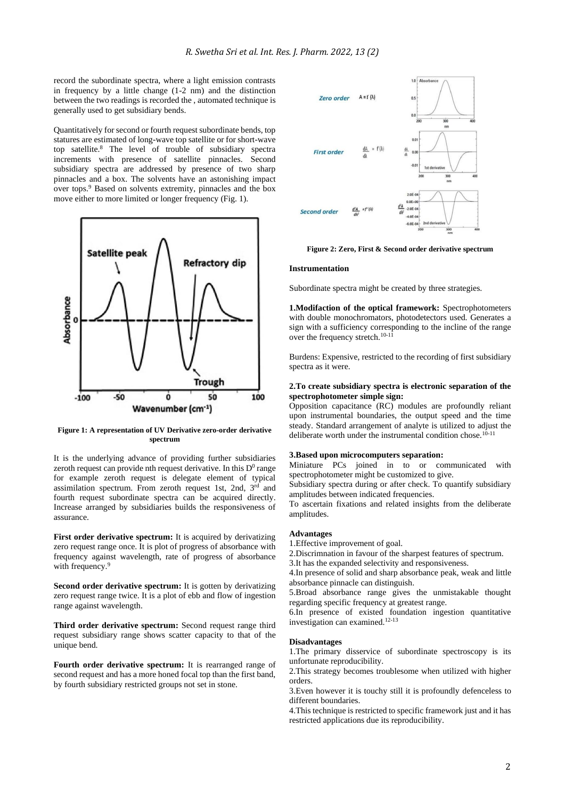record the subordinate spectra, where a light emission contrasts in frequency by a little change (1-2 nm) and the distinction between the two readings is recorded the , automated technique is generally used to get subsidiary bends.

Quantitatively for second or fourth request subordinate bends, top statures are estimated of long-wave top satellite or for short-wave top satellite.<sup>8</sup> The level of trouble of subsidiary spectra increments with presence of satellite pinnacles. Second subsidiary spectra are addressed by presence of two sharp pinnacles and a box. The solvents have an astonishing impact over tops. <sup>9</sup> Based on solvents extremity, pinnacles and the box move either to more limited or longer frequency (Fig. 1).



**Figure 1: A representation of UV Derivative zero-order derivative spectrum**

It is the underlying advance of providing further subsidiaries zeroth request can provide nth request derivative. In this  $D^0$  range for example zeroth request is delegate element of typical assimilation spectrum. From zeroth request 1st, 2nd, 3rd and fourth request subordinate spectra can be acquired directly. Increase arranged by subsidiaries builds the responsiveness of assurance.

First order derivative spectrum: It is acquired by derivatizing zero request range once. It is plot of progress of absorbance with frequency against wavelength, rate of progress of absorbance with frequency.<sup>9</sup>

**Second order derivative spectrum:** It is gotten by derivatizing zero request range twice. It is a plot of ebb and flow of ingestion range against wavelength.

Third order derivative spectrum: Second request range third request subsidiary range shows scatter capacity to that of the unique bend.

**Fourth order derivative spectrum:** It is rearranged range of second request and has a more honed focal top than the first band, by fourth subsidiary restricted groups not set in stone.



**Figure 2: Zero, First & Second order derivative spectrum**

#### **Instrumentation**

Subordinate spectra might be created by three strategies.

**1.Modifaction of the optical framework:** Spectrophotometers with double monochromators, photodetectors used. Generates a sign with a sufficiency corresponding to the incline of the range over the frequency stretch.10-11

Burdens: Expensive, restricted to the recording of first subsidiary spectra as it were.

#### **2.To create subsidiary spectra is electronic separation of the spectrophotometer simple sign:**

Opposition capacitance (RC) modules are profoundly reliant upon instrumental boundaries, the output speed and the time steady. Standard arrangement of analyte is utilized to adjust the deliberate worth under the instrumental condition chose.<sup>10-11</sup>

#### **3.Based upon microcomputers separation:**

Miniature PCs joined in to or communicated with spectrophotometer might be customized to give.

Subsidiary spectra during or after check. To quantify subsidiary amplitudes between indicated frequencies.

To ascertain fixations and related insights from the deliberate amplitudes.

#### **Advantages**

1.Effective improvement of goal.

2.Discrimnation in favour of the sharpest features of spectrum.

3.It has the expanded selectivity and responsiveness.

4.In presence of solid and sharp absorbance peak, weak and little absorbance pinnacle can distinguish.

5.Broad absorbance range gives the unmistakable thought regarding specific frequency at greatest range.

6.In presence of existed foundation ingestion quantitative investigation can examined. 12-13

## **Disadvantages**

1.The primary disservice of subordinate spectroscopy is its unfortunate reproducibility.

2. This strategy becomes troublesome when utilized with higher orders.

3.Even however it is touchy still it is profoundly defenceless to different boundaries.

4.This technique is restricted to specific framework just and it has restricted applications due its reproducibility.